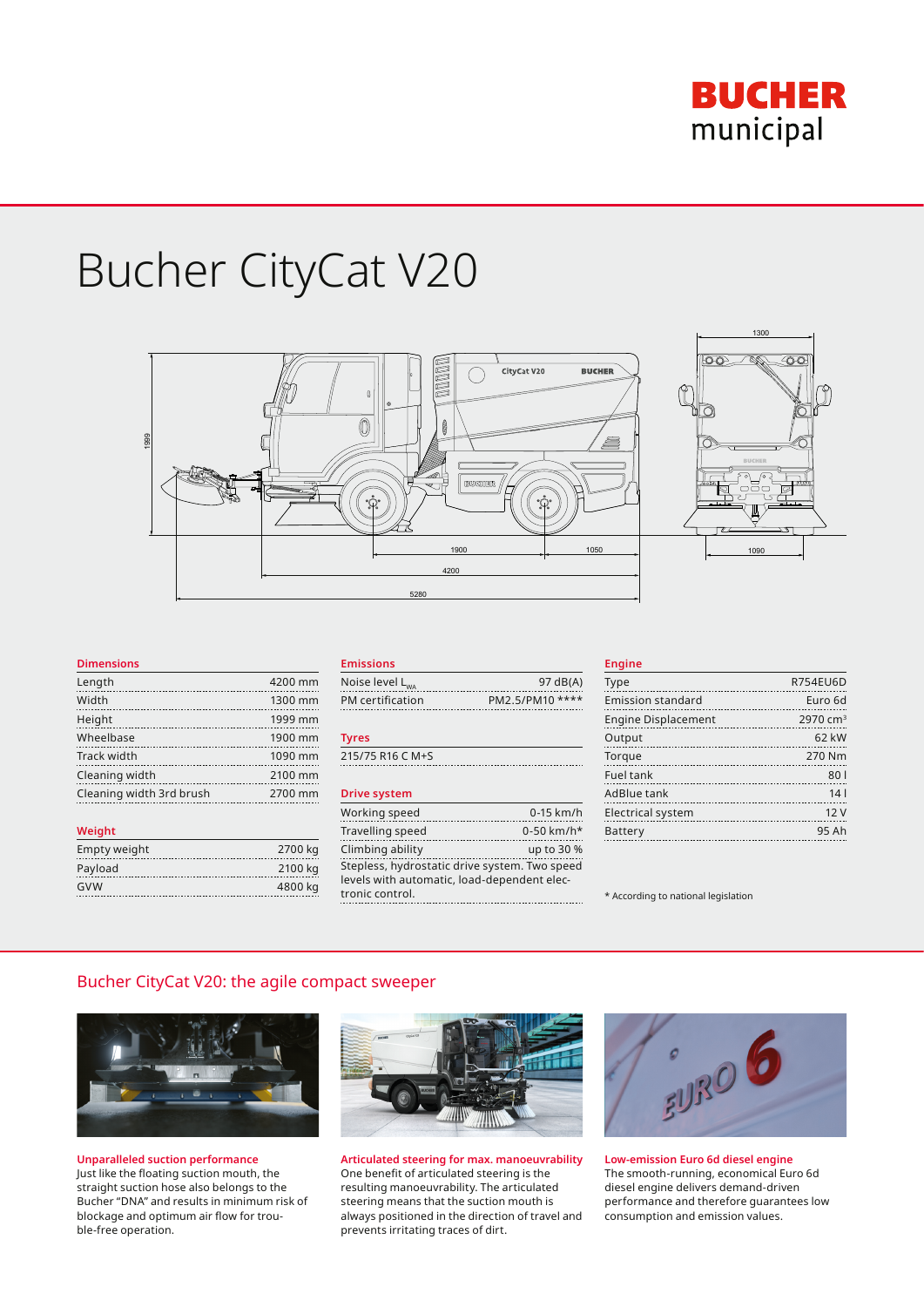

# Bucher CityCat V20



#### **Dimensions**

| Length                   | 4200 mm |
|--------------------------|---------|
| Width                    | 1300 mm |
| Height                   | 1999 mm |
| Wheelbase                | 1900 mm |
| Track width              | 1090 mm |
| Cleaning width           | 2100 mm |
| Cleaning width 3rd brush | 2700 mm |
|                          |         |

| Weight       |         |
|--------------|---------|
| Empty weight | 2700 kg |
| Payload      | 2100 kg |
| GVW          | 4800 kg |
|              |         |

#### **Emissions**

| Noise level L <sub>wa</sub> | 97 dB(A)        |
|-----------------------------|-----------------|
| PM certification            | PM2.5/PM10 **** |

#### **Tyres**

215/75 R16 C M+S

#### **Drive system**

| Working speed                                 | $0-15$ km/h  |
|-----------------------------------------------|--------------|
| Travelling speed                              | $0-50$ km/h* |
| Climbing ability                              | up to 30 %   |
| Stepless, hydrostatic drive system. Two speed |              |
| levels with automatic, load-dependent elec-   |              |
| tronic control.                               |              |

#### **Engine**

| Type                       | <b>R754EU6D</b>      |
|----------------------------|----------------------|
| Emission standard          | Euro 6d              |
| <b>Engine Displacement</b> | 2970 cm <sup>3</sup> |
| Output                     | 62 kW                |
| Torque                     | 270 Nm               |
| Fuel tank                  | 801                  |
| AdBlue tank                | 14 <sub>1</sub>      |
| <b>Electrical system</b>   | 12V                  |
| Battery                    | 95 Ah                |

\* According to national legislation

# Bucher CityCat V20: the agile compact sweeper



**Unparalleled suction performance**  Just like the floating suction mouth, the straight suction hose also belongs to the Bucher "DNA" and results in minimum risk of blockage and optimum air flow for trouble-free operation.



**Articulated steering for max. manoeuvrability** One benefit of articulated steering is the resulting manoeuvrability. The articulated steering means that the suction mouth is always positioned in the direction of travel and prevents irritating traces of dirt.



**Low-emission Euro 6d diesel engine** The smooth-running, economical Euro 6d diesel engine delivers demand-driven performance and therefore guarantees low consumption and emission values.